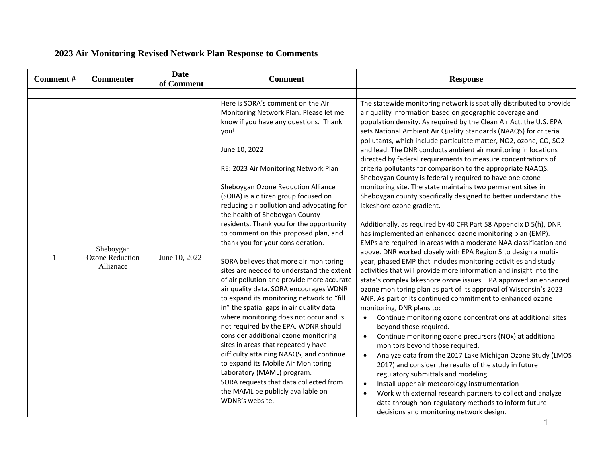## **2023 Air Monitoring Revised Network Plan Response to Comments**

| Comment#     | <b>Commenter</b>                                 | <b>Date</b><br>of Comment | <b>Comment</b>                                                                                                                                                                                                                                                                                                                                                                                                                                                                                                                                                                                                                                                                                                                                                                                                                                                                 | <b>Response</b>                                                                                                                                                                                                                                                                                                                                                                                                                                                                                                                                                                                                                                                                                                                                                                                                                                                                                                                                                                                                                                                                                                                                                                                                                                                                                                                                                                                                                                                                                                                                                                                                  |
|--------------|--------------------------------------------------|---------------------------|--------------------------------------------------------------------------------------------------------------------------------------------------------------------------------------------------------------------------------------------------------------------------------------------------------------------------------------------------------------------------------------------------------------------------------------------------------------------------------------------------------------------------------------------------------------------------------------------------------------------------------------------------------------------------------------------------------------------------------------------------------------------------------------------------------------------------------------------------------------------------------|------------------------------------------------------------------------------------------------------------------------------------------------------------------------------------------------------------------------------------------------------------------------------------------------------------------------------------------------------------------------------------------------------------------------------------------------------------------------------------------------------------------------------------------------------------------------------------------------------------------------------------------------------------------------------------------------------------------------------------------------------------------------------------------------------------------------------------------------------------------------------------------------------------------------------------------------------------------------------------------------------------------------------------------------------------------------------------------------------------------------------------------------------------------------------------------------------------------------------------------------------------------------------------------------------------------------------------------------------------------------------------------------------------------------------------------------------------------------------------------------------------------------------------------------------------------------------------------------------------------|
| $\mathbf{1}$ | Sheboygan<br><b>Ozone Reduction</b><br>Alliznace | June 10, 2022             | Here is SORA's comment on the Air<br>Monitoring Network Plan. Please let me<br>know if you have any questions. Thank<br>you!<br>June 10, 2022<br>RE: 2023 Air Monitoring Network Plan<br>Sheboygan Ozone Reduction Alliance<br>(SORA) is a citizen group focused on<br>reducing air pollution and advocating for<br>the health of Sheboygan County<br>residents. Thank you for the opportunity<br>to comment on this proposed plan, and<br>thank you for your consideration.<br>SORA believes that more air monitoring<br>sites are needed to understand the extent<br>of air pollution and provide more accurate<br>air quality data. SORA encourages WDNR<br>to expand its monitoring network to "fill<br>in" the spatial gaps in air quality data<br>where monitoring does not occur and is<br>not required by the EPA. WDNR should<br>consider additional ozone monitoring | The statewide monitoring network is spatially distributed to provide<br>air quality information based on geographic coverage and<br>population density. As required by the Clean Air Act, the U.S. EPA<br>sets National Ambient Air Quality Standards (NAAQS) for criteria<br>pollutants, which include particulate matter, NO2, ozone, CO, SO2<br>and lead. The DNR conducts ambient air monitoring in locations<br>directed by federal requirements to measure concentrations of<br>criteria pollutants for comparison to the appropriate NAAQS.<br>Sheboygan County is federally required to have one ozone<br>monitoring site. The state maintains two permanent sites in<br>Sheboygan county specifically designed to better understand the<br>lakeshore ozone gradient.<br>Additionally, as required by 40 CFR Part 58 Appendix D 5(h), DNR<br>has implemented an enhanced ozone monitoring plan (EMP).<br>EMPs are required in areas with a moderate NAA classification and<br>above. DNR worked closely with EPA Region 5 to design a multi-<br>year, phased EMP that includes monitoring activities and study<br>activities that will provide more information and insight into the<br>state's complex lakeshore ozone issues. EPA approved an enhanced<br>ozone monitoring plan as part of its approval of Wisconsin's 2023<br>ANP. As part of its continued commitment to enhanced ozone<br>monitoring, DNR plans to:<br>Continue monitoring ozone concentrations at additional sites<br>$\bullet$<br>beyond those required.<br>Continue monitoring ozone precursors (NOx) at additional<br>$\bullet$ |
|              |                                                  |                           | sites in areas that repeatedly have<br>difficulty attaining NAAQS, and continue<br>to expand its Mobile Air Monitoring<br>Laboratory (MAML) program.<br>SORA requests that data collected from<br>the MAML be publicly available on<br>WDNR's website.                                                                                                                                                                                                                                                                                                                                                                                                                                                                                                                                                                                                                         | monitors beyond those required.<br>Analyze data from the 2017 Lake Michigan Ozone Study (LMOS<br>$\bullet$<br>2017) and consider the results of the study in future<br>regulatory submittals and modeling.<br>Install upper air meteorology instrumentation<br>$\bullet$<br>Work with external research partners to collect and analyze<br>$\bullet$<br>data through non-regulatory methods to inform future<br>decisions and monitoring network design.                                                                                                                                                                                                                                                                                                                                                                                                                                                                                                                                                                                                                                                                                                                                                                                                                                                                                                                                                                                                                                                                                                                                                         |